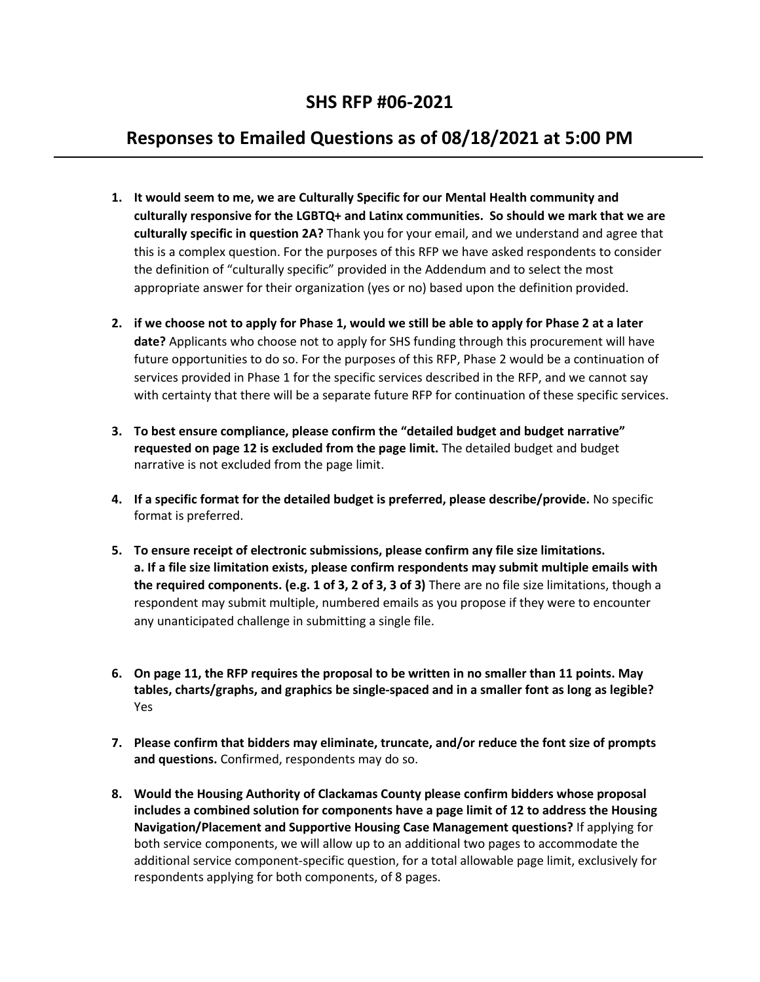## **Responses to Emailed Questions as of 08/18/2021 at 5:00 PM**

- **1. It would seem to me, we are Culturally Specific for our Mental Health community and culturally responsive for the LGBTQ+ and Latinx communities. So should we mark that we are culturally specific in question 2A?** Thank you for your email, and we understand and agree that this is a complex question. For the purposes of this RFP we have asked respondents to consider the definition of "culturally specific" provided in the Addendum and to select the most appropriate answer for their organization (yes or no) based upon the definition provided.
- **2. if we choose not to apply for Phase 1, would we still be able to apply for Phase 2 at a later date?** Applicants who choose not to apply for SHS funding through this procurement will have future opportunities to do so. For the purposes of this RFP, Phase 2 would be a continuation of services provided in Phase 1 for the specific services described in the RFP, and we cannot say with certainty that there will be a separate future RFP for continuation of these specific services.
- **3. To best ensure compliance, please confirm the "detailed budget and budget narrative" requested on page 12 is excluded from the page limit.** The detailed budget and budget narrative is not excluded from the page limit.
- **4. If a specific format for the detailed budget is preferred, please describe/provide.** No specific format is preferred.
- **5. To ensure receipt of electronic submissions, please confirm any file size limitations. a. If a file size limitation exists, please confirm respondents may submit multiple emails with the required components. (e.g. 1 of 3, 2 of 3, 3 of 3)** There are no file size limitations, though a respondent may submit multiple, numbered emails as you propose if they were to encounter any unanticipated challenge in submitting a single file.
- **6. On page 11, the RFP requires the proposal to be written in no smaller than 11 points. May tables, charts/graphs, and graphics be single-spaced and in a smaller font as long as legible?**  Yes
- **7. Please confirm that bidders may eliminate, truncate, and/or reduce the font size of prompts and questions.** Confirmed, respondents may do so.
- **8. Would the Housing Authority of Clackamas County please confirm bidders whose proposal includes a combined solution for components have a page limit of 12 to address the Housing Navigation/Placement and Supportive Housing Case Management questions?** If applying for both service components, we will allow up to an additional two pages to accommodate the additional service component-specific question, for a total allowable page limit, exclusively for respondents applying for both components, of 8 pages.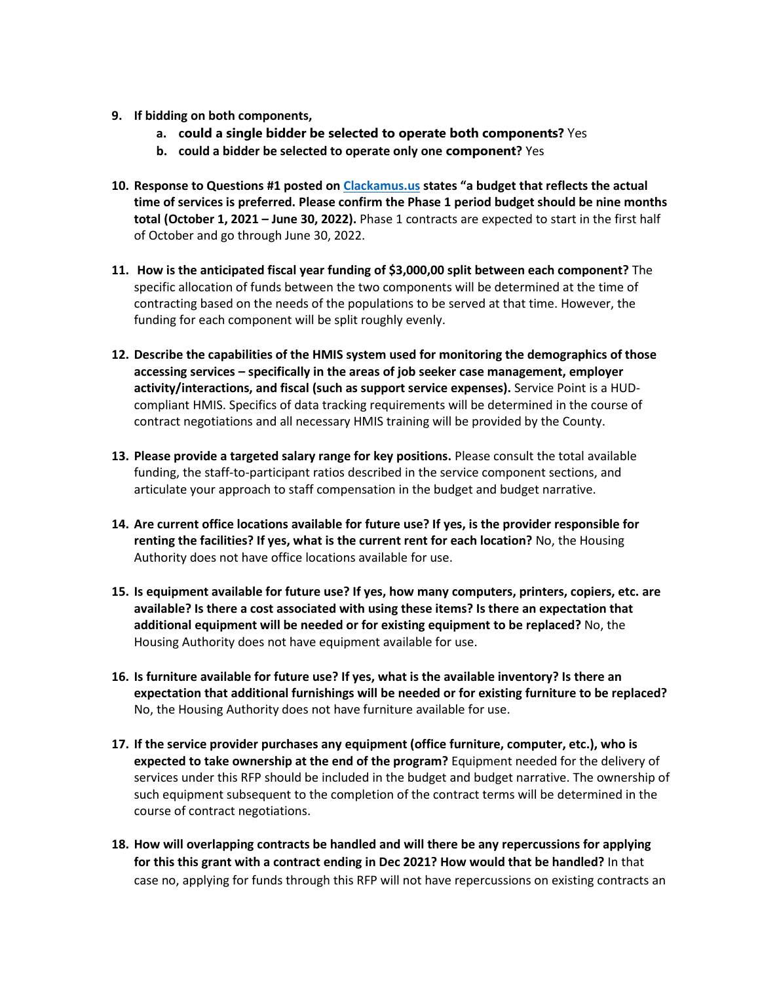- **9. If bidding on both components,** 
	- **a. could a single bidder be selected to operate both components?** Yes
	- **b. could a bidder be selected to operate only one component?** Yes
- **10. Response to Questions #1 posted on [Clackamus.us](https://protect-us.mimecast.com/s/9kj7CR6Jz2HNgJQI9kEeq?domain=clackamus.us) states "a budget that reflects the actual time of services is preferred. Please confirm the Phase 1 period budget should be nine months total (October 1, 2021 – June 30, 2022).** Phase 1 contracts are expected to start in the first half of October and go through June 30, 2022.
- **11. How is the anticipated fiscal year funding of \$3,000,00 split between each component?** The specific allocation of funds between the two components will be determined at the time of contracting based on the needs of the populations to be served at that time. However, the funding for each component will be split roughly evenly.
- **12. Describe the capabilities of the HMIS system used for monitoring the demographics of those accessing services – specifically in the areas of job seeker case management, employer activity/interactions, and fiscal (such as support service expenses).** Service Point is a HUDcompliant HMIS. Specifics of data tracking requirements will be determined in the course of contract negotiations and all necessary HMIS training will be provided by the County.
- **13. Please provide a targeted salary range for key positions.** Please consult the total available funding, the staff-to-participant ratios described in the service component sections, and articulate your approach to staff compensation in the budget and budget narrative.
- **14. Are current office locations available for future use? If yes, is the provider responsible for renting the facilities? If yes, what is the current rent for each location?** No, the Housing Authority does not have office locations available for use.
- **15. Is equipment available for future use? If yes, how many computers, printers, copiers, etc. are available? Is there a cost associated with using these items? Is there an expectation that additional equipment will be needed or for existing equipment to be replaced?** No, the Housing Authority does not have equipment available for use.
- **16. Is furniture available for future use? If yes, what is the available inventory? Is there an expectation that additional furnishings will be needed or for existing furniture to be replaced?** No, the Housing Authority does not have furniture available for use.
- **17. If the service provider purchases any equipment (office furniture, computer, etc.), who is expected to take ownership at the end of the program?** Equipment needed for the delivery of services under this RFP should be included in the budget and budget narrative. The ownership of such equipment subsequent to the completion of the contract terms will be determined in the course of contract negotiations.
- **18. How will overlapping contracts be handled and will there be any repercussions for applying for this this grant with a contract ending in Dec 2021? How would that be handled?** In that case no, applying for funds through this RFP will not have repercussions on existing contracts an